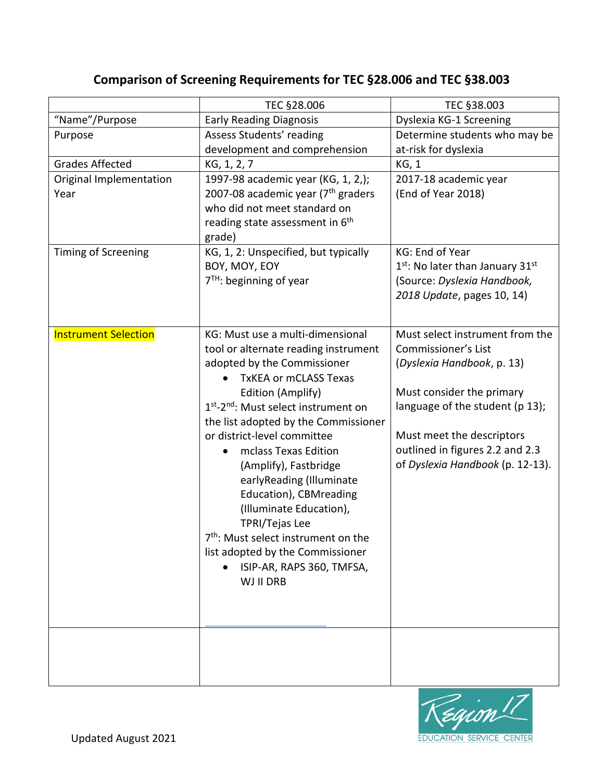|                             | TEC §28.006                                                  | TEC §38.003                        |
|-----------------------------|--------------------------------------------------------------|------------------------------------|
| "Name"/Purpose              | <b>Early Reading Diagnosis</b>                               | Dyslexia KG-1 Screening            |
| Purpose                     | Assess Students' reading                                     | Determine students who may be      |
|                             | development and comprehension                                | at-risk for dyslexia               |
| <b>Grades Affected</b>      | KG, 1, 2, 7                                                  | KG, 1                              |
| Original Implementation     | 1997-98 academic year (KG, 1, 2,);                           | 2017-18 academic year              |
| Year                        | 2007-08 academic year (7 <sup>th</sup> graders               | (End of Year 2018)                 |
|                             | who did not meet standard on                                 |                                    |
|                             | reading state assessment in 6 <sup>th</sup>                  |                                    |
|                             | grade)                                                       |                                    |
| Timing of Screening         | KG, 1, 2: Unspecified, but typically                         | KG: End of Year                    |
|                             | BOY, MOY, EOY                                                | $1st$ : No later than January 31st |
|                             | $7TH$ : beginning of year                                    | (Source: Dyslexia Handbook,        |
|                             |                                                              | 2018 Update, pages 10, 14)         |
|                             |                                                              |                                    |
| <b>Instrument Selection</b> | KG: Must use a multi-dimensional                             | Must select instrument from the    |
|                             | tool or alternate reading instrument                         | <b>Commissioner's List</b>         |
|                             | adopted by the Commissioner                                  | (Dyslexia Handbook, p. 13)         |
|                             | <b>TxKEA or mCLASS Texas</b>                                 |                                    |
|                             | Edition (Amplify)                                            | Must consider the primary          |
|                             | 1 <sup>st</sup> -2 <sup>nd</sup> : Must select instrument on | language of the student (p 13);    |
|                             | the list adopted by the Commissioner                         |                                    |
|                             | or district-level committee                                  | Must meet the descriptors          |
|                             | mclass Texas Edition                                         | outlined in figures 2.2 and 2.3    |
|                             |                                                              | of Dyslexia Handbook (p. 12-13).   |
|                             | (Amplify), Fastbridge                                        |                                    |
|                             | earlyReading (Illuminate                                     |                                    |
|                             | Education), CBMreading                                       |                                    |
|                             | (Illuminate Education),                                      |                                    |
|                             | <b>TPRI/Tejas Lee</b>                                        |                                    |
|                             | 7 <sup>th</sup> : Must select instrument on the              |                                    |
|                             | list adopted by the Commissioner                             |                                    |
|                             | ISIP-AR, RAPS 360, TMFSA,                                    |                                    |
|                             | WJ II DRB                                                    |                                    |
|                             |                                                              |                                    |
|                             |                                                              |                                    |
|                             |                                                              |                                    |
|                             |                                                              |                                    |
|                             |                                                              |                                    |
|                             |                                                              |                                    |

## **Comparison of Screening Requirements for TEC §28.006 and TEC §38.003**

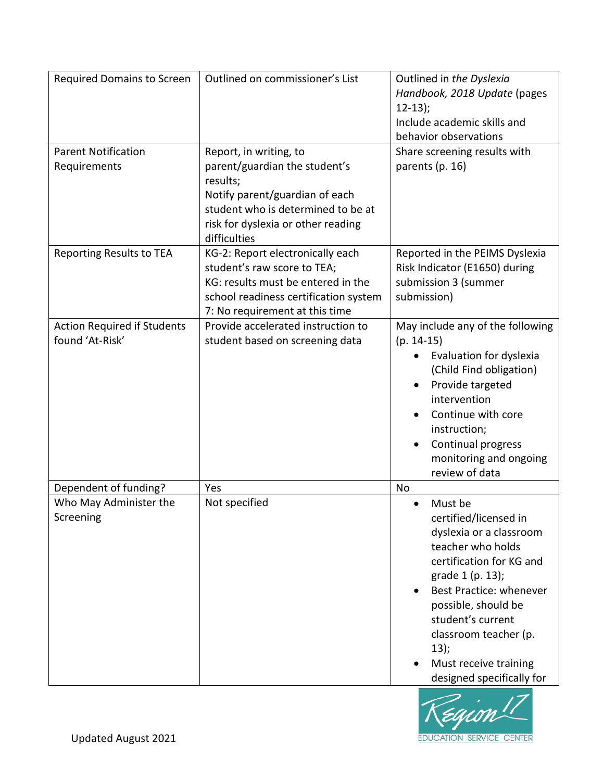| Required Domains to Screen<br><b>Parent Notification</b>     | Outlined on commissioner's List<br>Report, in writing, to                                                                                                                        | Outlined in the Dyslexia<br>Handbook, 2018 Update (pages<br>$12-13$ :<br>Include academic skills and<br>behavior observations<br>Share screening results with                                                                                                                                        |
|--------------------------------------------------------------|----------------------------------------------------------------------------------------------------------------------------------------------------------------------------------|------------------------------------------------------------------------------------------------------------------------------------------------------------------------------------------------------------------------------------------------------------------------------------------------------|
| Requirements                                                 | parent/guardian the student's<br>results;<br>Notify parent/guardian of each<br>student who is determined to be at<br>risk for dyslexia or other reading<br>difficulties          | parents (p. 16)                                                                                                                                                                                                                                                                                      |
| <b>Reporting Results to TEA</b>                              | KG-2: Report electronically each<br>student's raw score to TEA;<br>KG: results must be entered in the<br>school readiness certification system<br>7: No requirement at this time | Reported in the PEIMS Dyslexia<br>Risk Indicator (E1650) during<br>submission 3 (summer<br>submission)                                                                                                                                                                                               |
| <b>Action Required if Students</b><br>found 'At-Risk'        | Provide accelerated instruction to<br>student based on screening data                                                                                                            | May include any of the following<br>$(p. 14-15)$<br>Evaluation for dyslexia<br>(Child Find obligation)<br>Provide targeted<br>intervention<br>Continue with core<br>instruction;<br>Continual progress<br>monitoring and ongoing<br>review of data                                                   |
| Dependent of funding?<br>Who May Administer the<br>Screening | Yes<br>Not specified                                                                                                                                                             | No<br>Must be<br>certified/licensed in<br>dyslexia or a classroom<br>teacher who holds<br>certification for KG and<br>grade 1 (p. 13);<br>Best Practice: whenever<br>possible, should be<br>student's current<br>classroom teacher (p.<br>13);<br>Must receive training<br>designed specifically for |